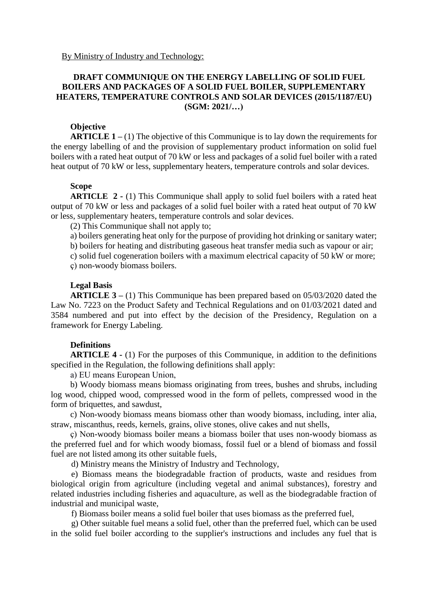### **DRAFT COMMUNIQUE ON THE ENERGY LABELLING OF SOLID FUEL BOILERS AND PACKAGES OF A SOLID FUEL BOILER, SUPPLEMENTARY HEATERS, TEMPERATURE CONTROLS AND SOLAR DEVICES (2015/1187/EU) (SGM: 2021/…)**

#### **Objective**

**ARTICLE 1 –** (1) The objective of this Communique is to lay down the requirements for the energy labelling of and the provision of supplementary product information on solid fuel boilers with a rated heat output of 70 kW or less and packages of a solid fuel boiler with a rated heat output of 70 kW or less, supplementary heaters, temperature controls and solar devices.

#### **Scope**

**ARTICLE 2 -** (1) This Communique shall apply to solid fuel boilers with a rated heat output of 70 kW or less and packages of a solid fuel boiler with a rated heat output of 70 kW or less, supplementary heaters, temperature controls and solar devices.

(2) This Communique shall not apply to;

a) boilers generating heat only for the purpose of providing hot drinking or sanitary water;

b) boilers for heating and distributing gaseous heat transfer media such as vapour or air;

c) solid fuel cogeneration boilers with a maximum electrical capacity of 50 kW or more;

ç) non-woody biomass boilers.

### **Legal Basis**

**ARTICLE 3 –** (1) This Communique has been prepared based on 05/03/2020 dated the Law No. 7223 on the Product Safety and Technical Regulations and on 01/03/2021 dated and 3584 numbered and put into effect by the decision of the Presidency, Regulation on a framework for Energy Labeling.

### **Definitions**

**ARTICLE 4 -** (1) For the purposes of this Communique, in addition to the definitions specified in the Regulation, the following definitions shall apply:

a) EU means European Union,

b) Woody biomass means biomass originating from trees, bushes and shrubs, including log wood, chipped wood, compressed wood in the form of pellets, compressed wood in the form of briquettes, and sawdust,

c) Non-woody biomass means biomass other than woody biomass, including, inter alia, straw, miscanthus, reeds, kernels, grains, olive stones, olive cakes and nut shells,

ç) Non-woody biomass boiler means a biomass boiler that uses non-woody biomass as the preferred fuel and for which woody biomass, fossil fuel or a blend of biomass and fossil fuel are not listed among its other suitable fuels,

d) Ministry means the Ministry of Industry and Technology,

e) Biomass means the biodegradable fraction of products, waste and residues from biological origin from agriculture (including vegetal and animal substances), forestry and related industries including fisheries and aquaculture, as well as the biodegradable fraction of industrial and municipal waste,

f) Biomass boiler means a solid fuel boiler that uses biomass as the preferred fuel,

g) Other suitable fuel means a solid fuel, other than the preferred fuel, which can be used in the solid fuel boiler according to the supplier's instructions and includes any fuel that is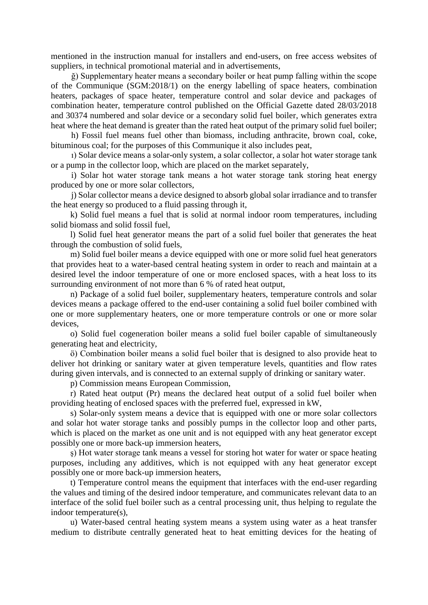mentioned in the instruction manual for installers and end-users, on free access websites of suppliers, in technical promotional material and in advertisements,

ğ) Supplementary heater means a secondary boiler or heat pump falling within the scope of the Communique (SGM:2018/1) on the energy labelling of space heaters, combination heaters, packages of space heater, temperature control and solar device and packages of combination heater, temperature control published on the Official Gazette dated 28/03/2018 and 30374 numbered and solar device or a secondary solid fuel boiler, which generates extra heat where the heat demand is greater than the rated heat output of the primary solid fuel boiler;

h) Fossil fuel means fuel other than biomass, including anthracite, brown coal, coke, bituminous coal; for the purposes of this Communique it also includes peat,

ı) Solar device means a solar-only system, a solar collector, a solar hot water storage tank or a pump in the collector loop, which are placed on the market separately,

i) Solar hot water storage tank means a hot water storage tank storing heat energy produced by one or more solar collectors,

j) Solar collector means a device designed to absorb global solar irradiance and to transfer the heat energy so produced to a fluid passing through it,

k) Solid fuel means a fuel that is solid at normal indoor room temperatures, including solid biomass and solid fossil fuel,

l) Solid fuel heat generator means the part of a solid fuel boiler that generates the heat through the combustion of solid fuels,

m) Solid fuel boiler means a device equipped with one or more solid fuel heat generators that provides heat to a water-based central heating system in order to reach and maintain at a desired level the indoor temperature of one or more enclosed spaces, with a heat loss to its surrounding environment of not more than 6 % of rated heat output,

n) Package of a solid fuel boiler, supplementary heaters, temperature controls and solar devices means a package offered to the end-user containing a solid fuel boiler combined with one or more supplementary heaters, one or more temperature controls or one or more solar devices,

o) Solid fuel cogeneration boiler means a solid fuel boiler capable of simultaneously generating heat and electricity,

ö) Combination boiler means a solid fuel boiler that is designed to also provide heat to deliver hot drinking or sanitary water at given temperature levels, quantities and flow rates during given intervals, and is connected to an external supply of drinking or sanitary water.

p) Commission means European Commission,

r) Rated heat output (Pr) means the declared heat output of a solid fuel boiler when providing heating of enclosed spaces with the preferred fuel, expressed in kW,

s) Solar-only system means a device that is equipped with one or more solar collectors and solar hot water storage tanks and possibly pumps in the collector loop and other parts, which is placed on the market as one unit and is not equipped with any heat generator except possibly one or more back-up immersion heaters,

ş) Hot water storage tank means a vessel for storing hot water for water or space heating purposes, including any additives, which is not equipped with any heat generator except possibly one or more back-up immersion heaters,

t) Temperature control means the equipment that interfaces with the end-user regarding the values and timing of the desired indoor temperature, and communicates relevant data to an interface of the solid fuel boiler such as a central processing unit, thus helping to regulate the indoor temperature(s),

u) Water-based central heating system means a system using water as a heat transfer medium to distribute centrally generated heat to heat emitting devices for the heating of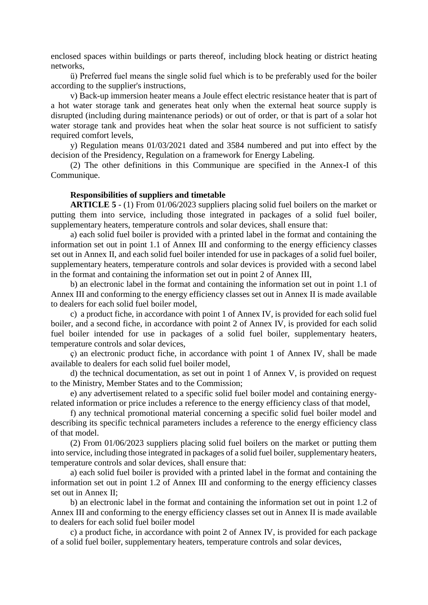enclosed spaces within buildings or parts thereof, including block heating or district heating networks,

ü) Preferred fuel means the single solid fuel which is to be preferably used for the boiler according to the supplier's instructions,

v) Back-up immersion heater means a Joule effect electric resistance heater that is part of a hot water storage tank and generates heat only when the external heat source supply is disrupted (including during maintenance periods) or out of order, or that is part of a solar hot water storage tank and provides heat when the solar heat source is not sufficient to satisfy required comfort levels,

y) Regulation means 01/03/2021 dated and 3584 numbered and put into effect by the decision of the Presidency, Regulation on a framework for Energy Labeling.

(2) The other definitions in this Communique are specified in the Annex-I of this Communique.

### **Responsibilities of suppliers and timetable**

**ARTICLE 5** - (1) From 01/06/2023 suppliers placing solid fuel boilers on the market or putting them into service, including those integrated in packages of a solid fuel boiler, supplementary heaters, temperature controls and solar devices, shall ensure that:

a) each solid fuel boiler is provided with a printed label in the format and containing the information set out in point 1.1 of Annex III and conforming to the energy efficiency classes set out in Annex II, and each solid fuel boiler intended for use in packages of a solid fuel boiler, supplementary heaters, temperature controls and solar devices is provided with a second label in the format and containing the information set out in point 2 of Annex III,

b) an electronic label in the format and containing the information set out in point 1.1 of Annex III and conforming to the energy efficiency classes set out in Annex II is made available to dealers for each solid fuel boiler model,

c) a product fiche, in accordance with point 1 of Annex IV, is provided for each solid fuel boiler, and a second fiche, in accordance with point 2 of Annex IV, is provided for each solid fuel boiler intended for use in packages of a solid fuel boiler, supplementary heaters, temperature controls and solar devices,

ç) an electronic product fiche, in accordance with point 1 of Annex IV, shall be made available to dealers for each solid fuel boiler model,

d) the technical documentation, as set out in point 1 of Annex V, is provided on request to the Ministry, Member States and to the Commission;

e) any advertisement related to a specific solid fuel boiler model and containing energyrelated information or price includes a reference to the energy efficiency class of that model,

f) any technical promotional material concerning a specific solid fuel boiler model and describing its specific technical parameters includes a reference to the energy efficiency class of that model.

(2) From 01/06/2023 suppliers placing solid fuel boilers on the market or putting them into service, including those integrated in packages of a solid fuel boiler, supplementary heaters, temperature controls and solar devices, shall ensure that:

a) each solid fuel boiler is provided with a printed label in the format and containing the information set out in point 1.2 of Annex III and conforming to the energy efficiency classes set out in Annex II;

b) an electronic label in the format and containing the information set out in point 1.2 of Annex III and conforming to the energy efficiency classes set out in Annex II is made available to dealers for each solid fuel boiler model

c) a product fiche, in accordance with point 2 of Annex IV, is provided for each package of a solid fuel boiler, supplementary heaters, temperature controls and solar devices,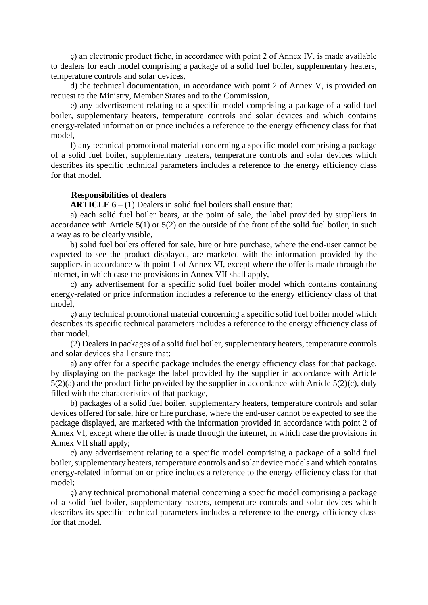ç) an electronic product fiche, in accordance with point 2 of Annex IV, is made available to dealers for each model comprising a package of a solid fuel boiler, supplementary heaters, temperature controls and solar devices,

d) the technical documentation, in accordance with point 2 of Annex V, is provided on request to the Ministry, Member States and to the Commission,

e) any advertisement relating to a specific model comprising a package of a solid fuel boiler, supplementary heaters, temperature controls and solar devices and which contains energy-related information or price includes a reference to the energy efficiency class for that model,

f) any technical promotional material concerning a specific model comprising a package of a solid fuel boiler, supplementary heaters, temperature controls and solar devices which describes its specific technical parameters includes a reference to the energy efficiency class for that model.

#### **Responsibilities of dealers**

**ARTICLE 6** – (1) Dealers in solid fuel boilers shall ensure that:

a) each solid fuel boiler bears, at the point of sale, the label provided by suppliers in accordance with Article 5(1) or 5(2) on the outside of the front of the solid fuel boiler, in such a way as to be clearly visible,

b) solid fuel boilers offered for sale, hire or hire purchase, where the end-user cannot be expected to see the product displayed, are marketed with the information provided by the suppliers in accordance with point 1 of Annex VI, except where the offer is made through the internet, in which case the provisions in Annex VII shall apply,

c) any advertisement for a specific solid fuel boiler model which contains containing energy-related or price information includes a reference to the energy efficiency class of that model,

ç) any technical promotional material concerning a specific solid fuel boiler model which describes its specific technical parameters includes a reference to the energy efficiency class of that model.

(2) Dealers in packages of a solid fuel boiler, supplementary heaters, temperature controls and solar devices shall ensure that:

a) any offer for a specific package includes the energy efficiency class for that package, by displaying on the package the label provided by the supplier in accordance with Article 5(2)(a) and the product fiche provided by the supplier in accordance with Article 5(2)(c), duly filled with the characteristics of that package,

b) packages of a solid fuel boiler, supplementary heaters, temperature controls and solar devices offered for sale, hire or hire purchase, where the end-user cannot be expected to see the package displayed, are marketed with the information provided in accordance with point 2 of Annex VI, except where the offer is made through the internet, in which case the provisions in Annex VII shall apply;

c) any advertisement relating to a specific model comprising a package of a solid fuel boiler, supplementary heaters, temperature controls and solar device models and which contains energy-related information or price includes a reference to the energy efficiency class for that model;

ç) any technical promotional material concerning a specific model comprising a package of a solid fuel boiler, supplementary heaters, temperature controls and solar devices which describes its specific technical parameters includes a reference to the energy efficiency class for that model.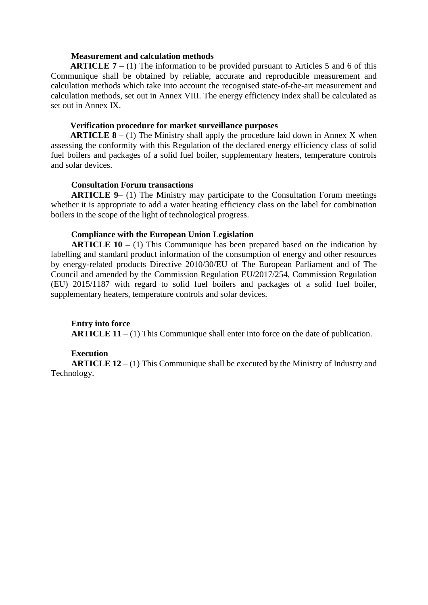#### **Measurement and calculation methods**

**ARTICLE 7 –** (1) The information to be provided pursuant to Articles 5 and 6 of this Communique shall be obtained by reliable, accurate and reproducible measurement and calculation methods which take into account the recognised state-of-the-art measurement and calculation methods, set out in Annex VIII. The energy efficiency index shall be calculated as set out in Annex IX.

#### **Verification procedure for market surveillance purposes**

**ARTICLE 8 –** (1) The Ministry shall apply the procedure laid down in Annex X when assessing the conformity with this Regulation of the declared energy efficiency class of solid fuel boilers and packages of a solid fuel boiler, supplementary heaters, temperature controls and solar devices.

#### **Consultation Forum transactions**

**ARTICLE 9–** (1) The Ministry may participate to the Consultation Forum meetings whether it is appropriate to add a water heating efficiency class on the label for combination boilers in the scope of the light of technological progress.

#### **Compliance with the European Union Legislation**

**ARTICLE 10** – (1) This Communique has been prepared based on the indication by labelling and standard product information of the consumption of energy and other resources by energy-related products Directive 2010/30/EU of The European Parliament and of The Council and amended by the Commission Regulation EU/2017/254, Commission Regulation (EU) 2015/1187 with regard to solid fuel boilers and packages of a solid fuel boiler, supplementary heaters, temperature controls and solar devices.

#### **Entry into force**

**ARTICLE 11** – (1) This Communique shall enter into force on the date of publication.

#### **Execution**

**ARTICLE 12** – (1) This Communique shall be executed by the Ministry of Industry and Technology.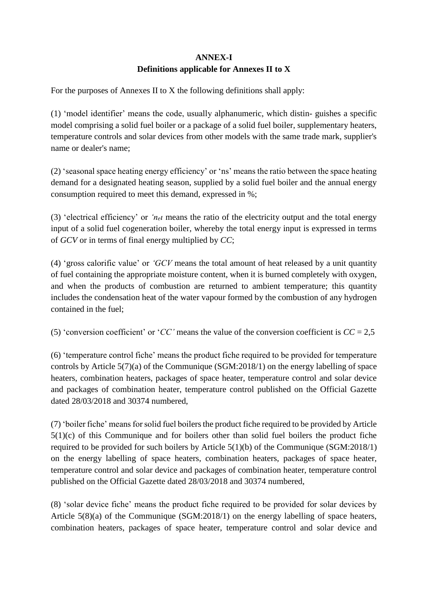# **ANNEX-I Definitions applicable for Annexes II to X**

For the purposes of Annexes II to X the following definitions shall apply:

(1) 'model identifier' means the code, usually alphanumeric, which distin- guishes a specific model comprising a solid fuel boiler or a package of a solid fuel boiler, supplementary heaters, temperature controls and solar devices from other models with the same trade mark, supplier's name or dealer's name;

(2) 'seasonal space heating energy efficiency' or 'ns' means the ratio between the space heating demand for a designated heating season, supplied by a solid fuel boiler and the annual energy consumption required to meet this demand, expressed in %;

(3) 'electrical efficiency' or ' $n_{el}$ <sup>*n*</sup> means the ratio of the electricity output and the total energy input of a solid fuel cogeneration boiler, whereby the total energy input is expressed in terms of *GCV* or in terms of final energy multiplied by *CC*;

(4) 'gross calorific value' or *'GCV* means the total amount of heat released by a unit quantity of fuel containing the appropriate moisture content, when it is burned completely with oxygen, and when the products of combustion are returned to ambient temperature; this quantity includes the condensation heat of the water vapour formed by the combustion of any hydrogen contained in the fuel;

(5) 'conversion coefficient' or '*CC*' means the value of the conversion coefficient is  $CC = 2.5$ 

(6) 'temperature control fiche' means the product fiche required to be provided for temperature controls by Article 5(7)(a) of the Communique (SGM:2018/1) on the energy labelling of space heaters, combination heaters, packages of space heater, temperature control and solar device and packages of combination heater, temperature control published on the Official Gazette dated 28/03/2018 and 30374 numbered,

(7) 'boiler fiche' means for solid fuel boilers the product fiche required to be provided by Article 5(1)(c) of this Communique and for boilers other than solid fuel boilers the product fiche required to be provided for such boilers by Article 5(1)(b) of the Communique (SGM:2018/1) on the energy labelling of space heaters, combination heaters, packages of space heater, temperature control and solar device and packages of combination heater, temperature control published on the Official Gazette dated 28/03/2018 and 30374 numbered,

(8) 'solar device fiche' means the product fiche required to be provided for solar devices by Article 5(8)(a) of the Communique (SGM:2018/1) on the energy labelling of space heaters, combination heaters, packages of space heater, temperature control and solar device and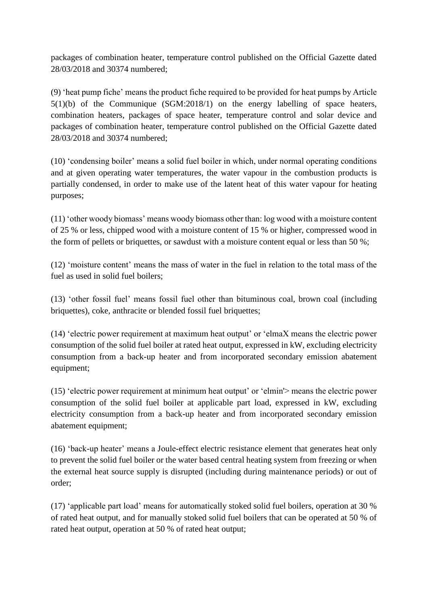packages of combination heater, temperature control published on the Official Gazette dated 28/03/2018 and 30374 numbered;

(9) 'heat pump fiche' means the product fiche required to be provided for heat pumps by Article 5(1)(b) of the Communique (SGM:2018/1) on the energy labelling of space heaters, combination heaters, packages of space heater, temperature control and solar device and packages of combination heater, temperature control published on the Official Gazette dated 28/03/2018 and 30374 numbered;

(10) 'condensing boiler' means a solid fuel boiler in which, under normal operating conditions and at given operating water temperatures, the water vapour in the combustion products is partially condensed, in order to make use of the latent heat of this water vapour for heating purposes;

(11) 'other woody biomass' means woody biomass other than: log wood with a moisture content of 25 % or less, chipped wood with a moisture content of 15 % or higher, compressed wood in the form of pellets or briquettes, or sawdust with a moisture content equal or less than 50 %;

(12) 'moisture content' means the mass of water in the fuel in relation to the total mass of the fuel as used in solid fuel boilers;

(13) 'other fossil fuel' means fossil fuel other than bituminous coal, brown coal (including briquettes), coke, anthracite or blended fossil fuel briquettes;

(14) 'electric power requirement at maximum heat output' or 'elmaX means the electric power consumption of the solid fuel boiler at rated heat output, expressed in kW, excluding electricity consumption from a back-up heater and from incorporated secondary emission abatement equipment;

(15) 'electric power requirement at minimum heat output' or 'elmin'> means the electric power consumption of the solid fuel boiler at applicable part load, expressed in kW, excluding electricity consumption from a back-up heater and from incorporated secondary emission abatement equipment;

(16) 'back-up heater' means a Joule-effect electric resistance element that generates heat only to prevent the solid fuel boiler or the water based central heating system from freezing or when the external heat source supply is disrupted (including during maintenance periods) or out of order;

(17) 'applicable part load' means for automatically stoked solid fuel boilers, operation at 30 % of rated heat output, and for manually stoked solid fuel boilers that can be operated at 50 % of rated heat output, operation at 50 % of rated heat output;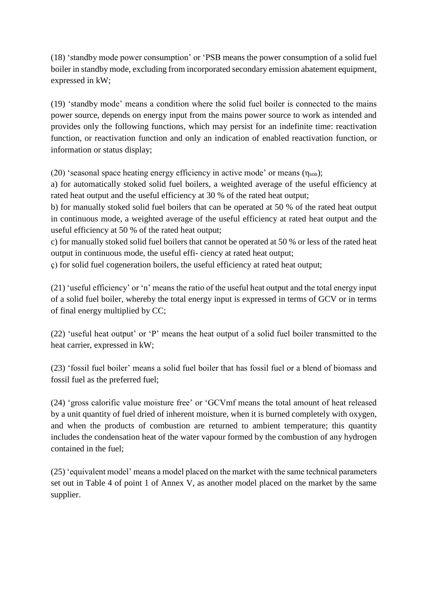(18) 'standby mode power consumption' or 'PSB means the power consumption of a solid fuel boiler in standby mode, excluding from incorporated secondary emission abatement equipment, expressed in kW;

(19) 'standby mode' means a condition where the solid fuel boiler is connected to the mains power source, depends on energy input from the mains power source to work as intended and provides only the following functions, which may persist for an indefinite time: reactivation function, or reactivation function and only an indication of enabled reactivation function, or information or status display;

(20) 'seasonal space heating energy efficiency in active mode' or means  $(\eta_{son})$ ;

a) for automatically stoked solid fuel boilers, a weighted average of the useful efficiency at rated heat output and the useful efficiency at 30 % of the rated heat output;

b) for manually stoked solid fuel boilers that can be operated at 50 % of the rated heat output in continuous mode, a weighted average of the useful efficiency at rated heat output and the useful efficiency at 50 % of the rated heat output;

c) for manually stoked solid fuel boilers that cannot be operated at 50 % or less of the rated heat output in continuous mode, the useful effi- ciency at rated heat output;

ç) for solid fuel cogeneration boilers, the useful efficiency at rated heat output;

(21) 'useful efficiency' or 'n' means the ratio of the useful heat output and the total energy input of a solid fuel boiler, whereby the total energy input is expressed in terms of GCV or in terms of final energy multiplied by CC;

(22) 'useful heat output' or 'P' means the heat output of a solid fuel boiler transmitted to the heat carrier, expressed in kW;

(23) 'fossil fuel boiler' means a solid fuel boiler that has fossil fuel or a blend of biomass and fossil fuel as the preferred fuel;

(24) 'gross calorific value moisture free' or 'GCVmf means the total amount of heat released by a unit quantity of fuel dried of inherent moisture, when it is burned completely with oxygen, and when the products of combustion are returned to ambient temperature; this quantity includes the condensation heat of the water vapour formed by the combustion of any hydrogen contained in the fuel;

(25) 'equivalent model' means a model placed on the market with the same technical parameters set out in Table 4 of point 1 of Annex V, as another model placed on the market by the same supplier.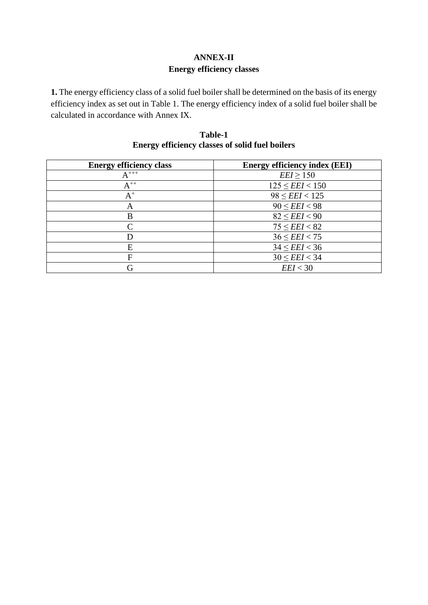# **ANNEX-II Energy efficiency classes**

**1.** The energy efficiency class of a solid fuel boiler shall be determined on the basis of its energy efficiency index as set out in Table 1. The energy efficiency index of a solid fuel boiler shall be calculated in accordance with Annex IX.

| Table-1                                                |  |
|--------------------------------------------------------|--|
| <b>Energy efficiency classes of solid fuel boilers</b> |  |

| <b>Energy efficiency class</b> | <b>Energy efficiency index (EEI)</b> |
|--------------------------------|--------------------------------------|
| $A^{++}$                       | $EEI \ge 150$                        |
| $A^{++}$                       | $125 \le EEI < 150$                  |
| $\mathrm{A}^+$                 | $98 \le EEI < 125$                   |
| А                              | $90 \le EEI < 98$                    |
| В                              | $82 \le EEI < 90$                    |
| ⌒                              | $75 \le EEI < 82$                    |
|                                | $36 \le EEI < 75$                    |
| E                              | $34 \le EEI < 36$                    |
| F                              | $30 \le EEI < 34$                    |
| G                              | EEI < 30                             |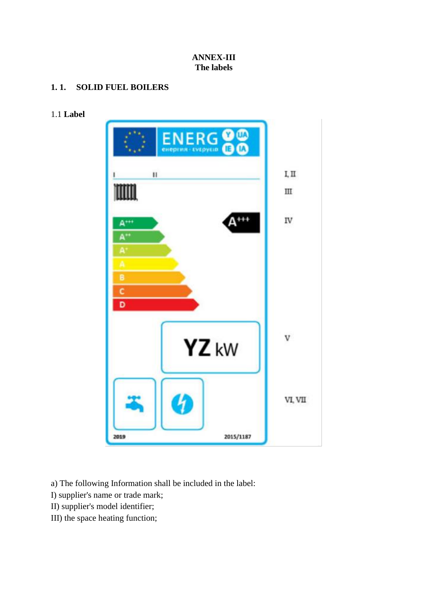### **ANNEX-III The labels**

## **1. 1. SOLID FUEL BOILERS**

## 1.1 **Label**



a) The following Information shall be included in the label:

I) supplier's name or trade mark;

- II) supplier's model identifier;
- III) the space heating function;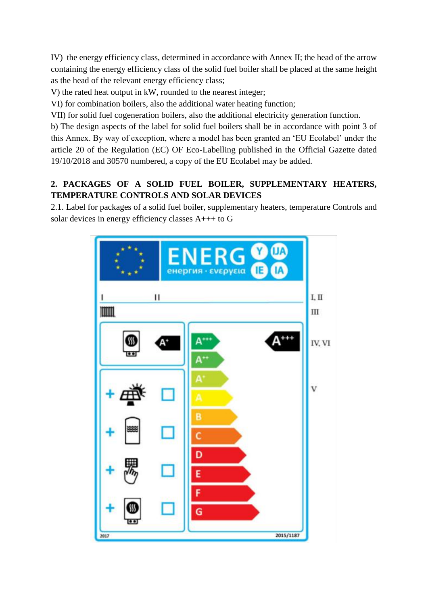IV) the energy efficiency class, determined in accordance with Annex II; the head of the arrow containing the energy efficiency class of the solid fuel boiler shall be placed at the same height as the head of the relevant energy efficiency class;

V) the rated heat output in kW, rounded to the nearest integer;

VI) for combination boilers, also the additional water heating function;

VII) for solid fuel cogeneration boilers, also the additional electricity generation function.

b) The design aspects of the label for solid fuel boilers shall be in accordance with point 3 of this Annex. By way of exception, where a model has been granted an 'EU Ecolabel' under the article 20 of the Regulation (EC) OF Eco-Labelling published in the Official Gazette dated 19/10/2018 and 30570 numbered, a copy of the EU Ecolabel may be added.

## **2. PACKAGES OF A SOLID FUEL BOILER, SUPPLEMENTARY HEATERS, TEMPERATURE CONTROLS AND SOLAR DEVICES**

2.1. Label for packages of a solid fuel boiler, supplementary heaters, temperature Controls and solar devices in energy efficiency classes A+++ to G

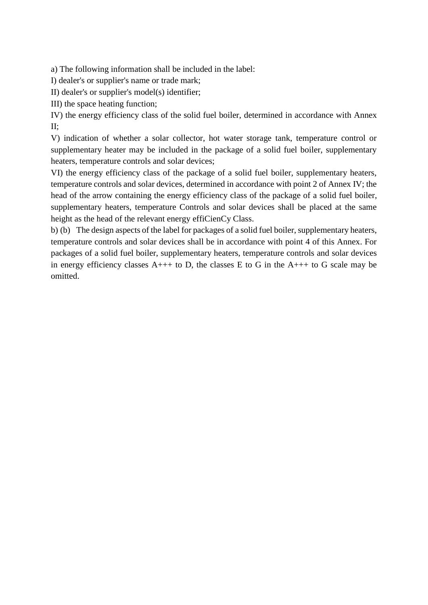a) The following information shall be included in the label:

I) dealer's or supplier's name or trade mark;

II) dealer's or supplier's model(s) identifier;

III) the space heating function;

IV) the energy efficiency class of the solid fuel boiler, determined in accordance with Annex II;

V) indication of whether a solar collector, hot water storage tank, temperature control or supplementary heater may be included in the package of a solid fuel boiler, supplementary heaters, temperature controls and solar devices;

VI) the energy efficiency class of the package of a solid fuel boiler, supplementary heaters, temperature controls and solar devices, determined in accordance with point 2 of Annex IV; the head of the arrow containing the energy efficiency class of the package of a solid fuel boiler, supplementary heaters, temperature Controls and solar devices shall be placed at the same height as the head of the relevant energy effiCienCy Class.

b) (b) The design aspects of the label for packages of a solid fuel boiler, supplementary heaters, temperature controls and solar devices shall be in accordance with point 4 of this Annex. For packages of a solid fuel boiler, supplementary heaters, temperature controls and solar devices in energy efficiency classes  $A_{++}$  to D, the classes E to G in the  $A_{++}$  to G scale may be omitted.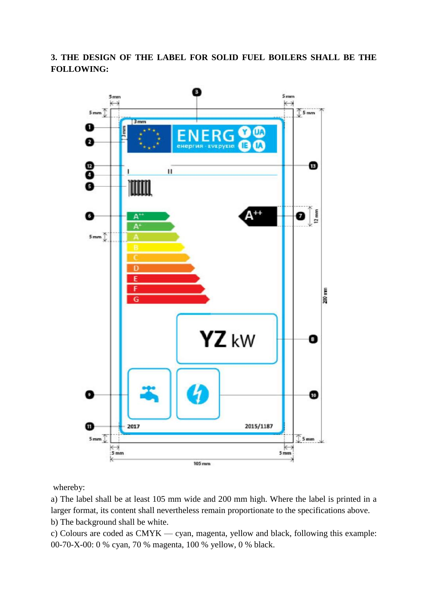**3. THE DESIGN OF THE LABEL FOR SOLID FUEL BOILERS SHALL BE THE FOLLOWING:**



whereby:

a) The label shall be at least 105 mm wide and 200 mm high. Where the label is printed in a larger format, its content shall nevertheless remain proportionate to the specifications above. b) The background shall be white.

c) Colours are coded as CMYK — cyan, magenta, yellow and black, following this example: 00-70-X-00: 0 % cyan, 70 % magenta, 100 % yellow, 0 % black.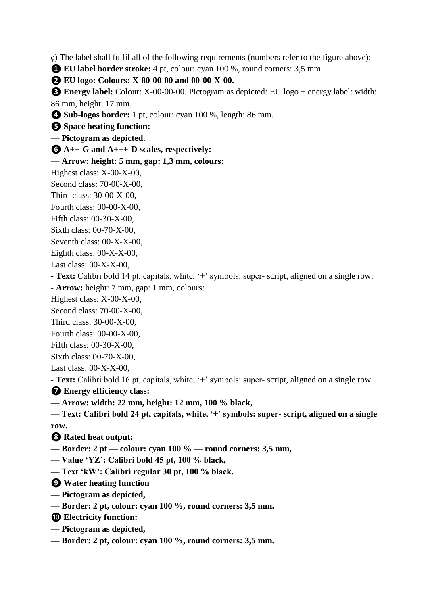ç) The label shall fulfil all of the following requirements (numbers refer to the figure above):

**❶ EU label border stroke:** 4 pt, colour: cyan 100 %, round corners: 3,5 mm.

**❷ EU logo: Colours: X-80-00-00 and 00-00-X-00.**

**❸ Energy label:** Colour: X-00-00-00. Pictogram as depicted: EU logo + energy label: width: 86 mm, height: 17 mm.

**❹ Sub-logos border:** 1 pt, colour: cyan 100 %, length: 86 mm.

**❺ Space heating function:**

**— Pictogram as depicted.**

**❻ A++-G and A+++-D scales, respectively:**

**— Arrow: height: 5 mm, gap: 1,3 mm, colours:**

Highest class: X-00-X-00,

Second class: 70-00-X-00,

Third class: 30-00-X-00,

Fourth class: 00-00-X-00,

Fifth class: 00-30-X-00,

Sixth class: 00-70-X-00,

Seventh class:  $00-X-X-00$ ,

Eighth class: 00-X-X-00,

Last class: 00-X-X-00,

**- Text:** Calibri bold 14 pt, capitals, white, '+' symbols: super- script, aligned on a single row;

**- Arrow:** height: 7 mm, gap: 1 mm, colours:

Highest class: X-00-X-00,

Second class: 70-00-X-00,

Third class: 30-00-X-00,

Fourth class: 00-00-X-00,

Fifth class: 00-30-X-00,

Sixth class: 00-70-X-00,

Last class: 00-X-X-00,

**- Text:** Calibri bold 16 pt, capitals, white, '+' symbols: super- script, aligned on a single row.

**❼ Energy efficiency class:**

**— Arrow: width: 22 mm, height: 12 mm, 100 % black,**

**— Text: Calibri bold 24 pt, capitals, white, '+' symbols: super- script, aligned on a single row.**

**❽ Rated heat output:**

**— Border: 2 pt — colour: cyan 100 % — round corners: 3,5 mm,**

**— Value 'YZ': Calibri bold 45 pt, 100 % black,**

**— Text 'kW': Calibri regular 30 pt, 100 % black.**

**❾ Water heating function**

- **— Pictogram as depicted,**
- **— Border: 2 pt, colour: cyan 100 %, round corners: 3,5 mm.**

**❿ Electricity function:**

- **— Pictogram as depicted,**
- **— Border: 2 pt, colour: cyan 100 %, round corners: 3,5 mm.**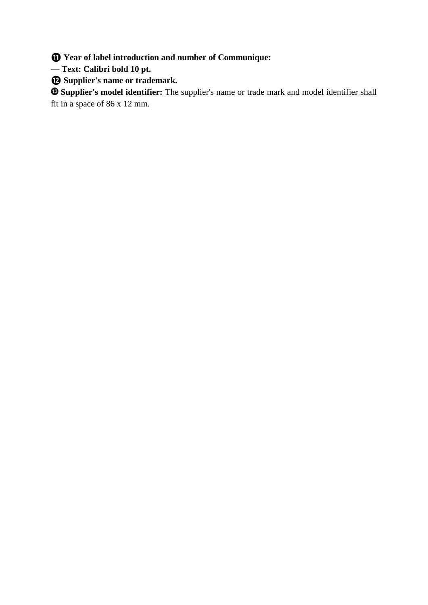**⓫ Year of label introduction and number of Communique:**

**— Text: Calibri bold 10 pt.**

**⓬ Supplier's name or trademark.**

**Supplier's model identifier:** The supplier's name or trade mark and model identifier shall fit in a space of 86 x 12 mm.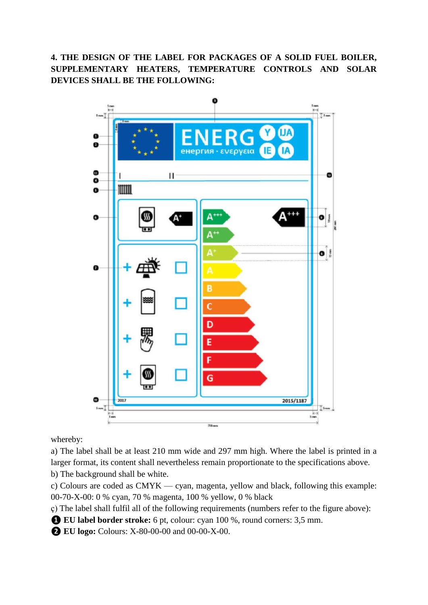## **4. THE DESIGN OF THE LABEL FOR PACKAGES OF A SOLID FUEL BOILER, SUPPLEMENTARY HEATERS, TEMPERATURE CONTROLS AND SOLAR DEVICES SHALL BE THE FOLLOWING:**



whereby:

a) The label shall be at least 210 mm wide and 297 mm high. Where the label is printed in a larger format, its content shall nevertheless remain proportionate to the specifications above.

b) The background shall be white.

c) Colours are coded as CMYK — cyan, magenta, yellow and black, following this example: 00-70-X-00: 0 % cyan, 70 % magenta, 100 % yellow, 0 % black

ç) The label shall fulfil all of the following requirements (numbers refer to the figure above):

**❶ EU label border stroke:** 6 pt, colour: cyan 100 %, round corners: 3,5 mm.

**❷ EU logo:** Colours: X-80-00-00 and 00-00-X-00.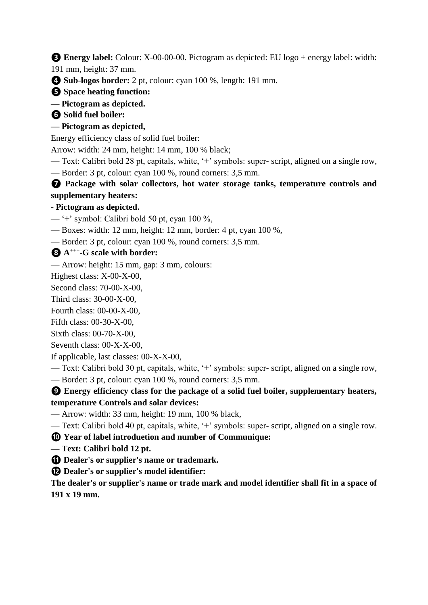**❸ Energy label:** Colour: X-00-00-00. Pictogram as depicted: EU logo + energy label: width:

191 mm, height: 37 mm.

**❹ Sub-logos border:** 2 pt, colour: cyan 100 %, length: 191 mm.

**❺ Space heating function:**

**— Pictogram as depicted.**

**❻ Solid fuel boiler:**

# **— Pictogram as depicted,**

Energy efficiency class of solid fuel boiler:

Arrow: width: 24 mm, height: 14 mm, 100 % black;

— Text: Calibri bold 28 pt, capitals, white, '+' symbols: super- script, aligned on a single row, — Border: 3 pt, colour: cyan 100 %, round corners: 3,5 mm.

**❼ Package with solar collectors, hot water storage tanks, temperature controls and supplementary heaters:**

# - **Pictogram as depicted.**

— '+' symbol: Calibri bold 50 pt, cyan 100 %,

— Boxes: width: 12 mm, height: 12 mm, border: 4 pt, cyan 100 %,

— Border: 3 pt, colour: cyan 100 %, round corners: 3,5 mm.

# **❽ A** +++ **-G scale with border:**

— Arrow: height: 15 mm, gap: 3 mm, colours:

Highest class: X-00-X-00,

Second class: 70-00-X-00,

Third class: 30-00-X-00,

Fourth class: 00-00-X-00,

Fifth class: 00-30-X-00,

Sixth class: 00-70-X-00,

Seventh class: 00-X-X-00,

If applicable, last classes: 00-X-X-00,

- Text: Calibri bold 30 pt, capitals, white, '+' symbols: super- script, aligned on a single row,
- Border: 3 pt, colour: cyan 100 %, round corners: 3,5 mm.

**❾ Energy efficiency class for the package of a solid fuel boiler, supplementary heaters, temperature Controls and solar devices:**

— Arrow: width: 33 mm, height: 19 mm, 100 % black,

— Text: Calibri bold 40 pt, capitals, white, '+' symbols: super- script, aligned on a single row.

**❿ Year of label introduetion and number of Communique:**

**— Text: Calibri bold 12 pt.**

**⓫ Dealer's or supplier's name or trademark.**

**⓬ Dealer's or supplier's model identifier:**

**The dealer's or supplier's name or trade mark and model identifier shall fit in a space of 191 x 19 mm.**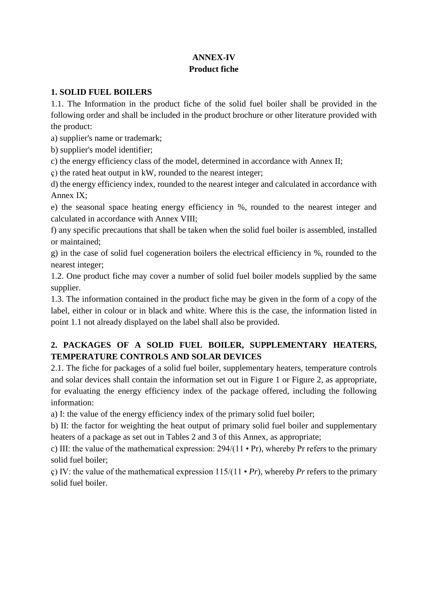## **ANNEX-IV Product fiche**

## **1. SOLID FUEL BOILERS**

1.1. The Information in the product fiche of the solid fuel boiler shall be provided in the following order and shall be included in the product brochure or other literature provided with the product:

a) supplier's name or trademark;

b) supplier's model identifier;

c) the energy efficiency class of the model, determined in accordance with Annex II;

ç) the rated heat output in kW, rounded to the nearest integer;

d) the energy efficiency index, rounded to the nearest integer and calculated in accordance with Annex IX;

e) the seasonal space heating energy efficiency in %, rounded to the nearest integer and calculated in accordance with Annex VIII;

f) any specific precautions that shall be taken when the solid fuel boiler is assembled, installed or maintained;

g) in the case of solid fuel cogeneration boilers the electrical efficiency in %, rounded to the nearest integer;

1.2. One product fiche may cover a number of solid fuel boiler models supplied by the same supplier.

1.3. The information contained in the product fiche may be given in the form of a copy of the label, either in colour or in black and white. Where this is the case, the information listed in point 1.1 not already displayed on the label shall also be provided.

## **2. PACKAGES OF A SOLID FUEL BOILER, SUPPLEMENTARY HEATERS, TEMPERATURE CONTROLS AND SOLAR DEVICES**

2.1. The fiche for packages of a solid fuel boiler, supplementary heaters, temperature controls and solar devices shall contain the information set out in Figure 1 or Figure 2, as appropriate, for evaluating the energy efficiency index of the package offered, including the following information:

a) I: the value of the energy efficiency index of the primary solid fuel boiler;

b) II: the factor for weighting the heat output of primary solid fuel boiler and supplementary heaters of a package as set out in Tables 2 and 3 of this Annex, as appropriate;

c) III: the value of the mathematical expression: 294/(11 • Pr), whereby Pr refers to the primary solid fuel boiler;

ç) IV: the value of the mathematical expression 115/(11 • *Pr*), whereby *Pr* refers to the primary solid fuel boiler.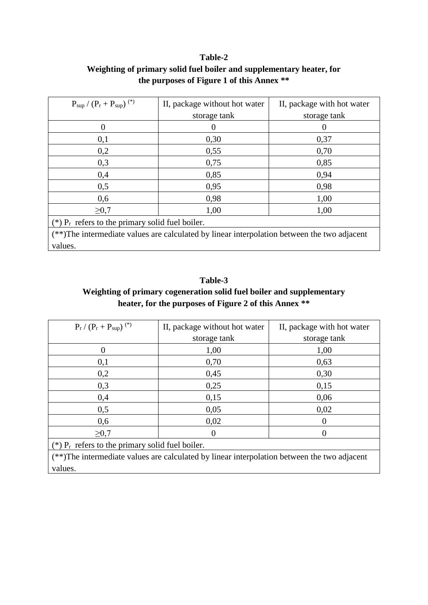## **Table-2 Weighting of primary solid fuel boiler and supplementary heater, for the purposes of Figure 1 of this Annex \*\***

| $P_{\rm sup} / (P_{\rm r} + P_{\rm sup})$ <sup>(*)</sup>                                    | II, package without hot water | II, package with hot water |  |  |  |
|---------------------------------------------------------------------------------------------|-------------------------------|----------------------------|--|--|--|
|                                                                                             | storage tank                  | storage tank               |  |  |  |
| 0                                                                                           | 0                             | 0                          |  |  |  |
| 0,1                                                                                         | 0,30                          | 0,37                       |  |  |  |
| 0,2                                                                                         | 0,55                          | 0,70                       |  |  |  |
| 0,3                                                                                         | 0,75                          | 0,85                       |  |  |  |
| 0,4                                                                                         | 0,85                          | 0,94                       |  |  |  |
| 0,5                                                                                         | 0,95                          | 0,98                       |  |  |  |
| 0,6                                                                                         | 0,98                          | 1,00                       |  |  |  |
| $\geq 0.7$                                                                                  | 1,00                          | 1,00                       |  |  |  |
| (*) $P_r$ refers to the primary solid fuel boiler.                                          |                               |                            |  |  |  |
| (**)The intermediate values are calculated by linear interpolation between the two adjacent |                               |                            |  |  |  |
| values.                                                                                     |                               |                            |  |  |  |

# **Table-3 Weighting of primary cogeneration solid fuel boiler and supplementary heater, for the purposes of Figure 2 of this Annex \*\***

| $P_r / (P_r + P_{sup})^{(*)}$                                                                                                                                                                                                               | II, package without hot water                      | II, package with hot water |  |  |  |  |
|---------------------------------------------------------------------------------------------------------------------------------------------------------------------------------------------------------------------------------------------|----------------------------------------------------|----------------------------|--|--|--|--|
|                                                                                                                                                                                                                                             | storage tank                                       | storage tank               |  |  |  |  |
|                                                                                                                                                                                                                                             | 1,00                                               | 1,00                       |  |  |  |  |
| 0,1                                                                                                                                                                                                                                         | 0,70                                               | 0,63                       |  |  |  |  |
| 0,2                                                                                                                                                                                                                                         | 0,45                                               | 0,30                       |  |  |  |  |
| 0,3                                                                                                                                                                                                                                         | 0,25                                               | 0,15                       |  |  |  |  |
| 0,4                                                                                                                                                                                                                                         | 0,15                                               | 0,06                       |  |  |  |  |
| 0,5                                                                                                                                                                                                                                         | 0,05                                               | 0,02                       |  |  |  |  |
| 0,6                                                                                                                                                                                                                                         | 0,02                                               | $\Omega$                   |  |  |  |  |
| $\geq 0.7$                                                                                                                                                                                                                                  | 0                                                  | 0                          |  |  |  |  |
|                                                                                                                                                                                                                                             | (*) $P_r$ refers to the primary solid fuel boiler. |                            |  |  |  |  |
| $\sqrt{4}$ defined the contract of the contract of the contract of the contract of the contract of the contract of the contract of the contract of the contract of the contract of the contract of the contract of the contract<br>$\cdots$ |                                                    |                            |  |  |  |  |

(\*\*)The intermediate values are calculated by linear interpolation between the two adjacent values.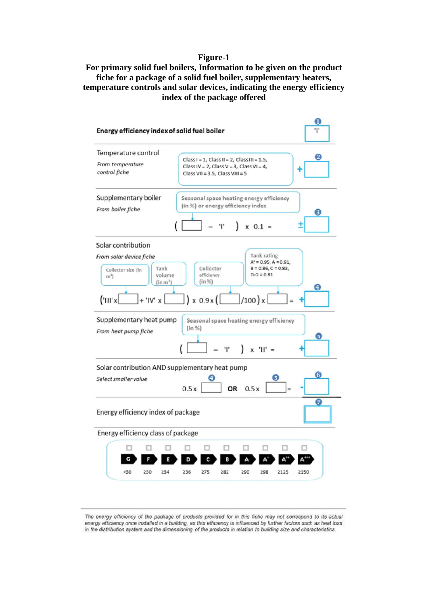#### **Figure-1**

### **For primary solid fuel boilers, Information to be given on the product fiche for a package of a solid fuel boiler, supplementary heaters, temperature controls and solar devices, indicating the energy efficiency index of the package offered**



The energy efficiency of the package of products provided for in this fiche may not correspond to its actual energy efficiency once installed in a building, as this efficiency is influenced by further factors such as heat loss in the distribution system and the dimensioning of the products in relation to building size and characteristics.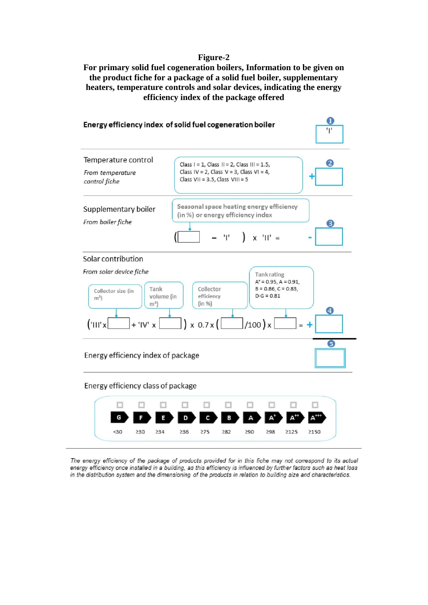#### **Figure-2**

**For primary solid fuel cogeneration boilers, Information to be given on the product fiche for a package of a solid fuel boiler, supplementary heaters, temperature controls and solar devices, indicating the energy efficiency index of the package offered**



The energy efficiency of the package of products provided for in this fiche may not correspond to its actual energy efficiency once installed in a building, as this efficiency is influenced by further factors such as heat loss in the distribution system and the dimensioning of the products in relation to building size and characteristics.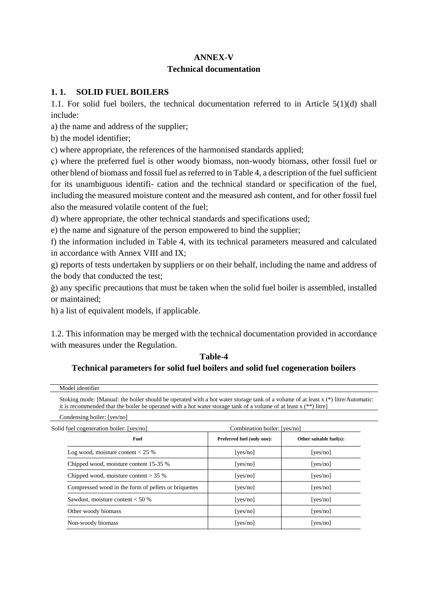### **ANNEX-V**

### **Technical documentation**

### **1. 1. SOLID FUEL BOILERS**

1.1. For solid fuel boilers, the technical documentation referred to in Article 5(1)(d) shall include:

a) the name and address of the supplier;

b) the model identifier;

c) where appropriate, the references of the harmonised standards applied;

ç) where the preferred fuel is other woody biomass, non-woody biomass, other fossil fuel or other blend of biomass and fossil fuel as referred to in Table 4, a description of the fuel sufficient for its unambiguous identifi- cation and the technical standard or specification of the fuel, including the measured moisture content and the measured ash content, and for other fossil fuel also the measured volatile content of the fuel;

d) where appropriate, the other technical standards and specifications used;

e) the name and signature of the person empowered to bind the supplier;

f) the information included in Table 4, with its technical parameters measured and calculated in accordance with Annex VIII and IX;

g) reports of tests undertaken by suppliers or on their behalf, including the name and address of the body that conducted the test;

ğ) any specific precautions that must be taken when the solid fuel boiler is assembled, installed or maintained;

h) a list of equivalent models, if applicable.

1.2. This information may be merged with the technical documentation provided in accordance with measures under the Regulation.

### **Table-4**

## **Technical parameters for solid fuel boilers and solid fuel cogeneration boilers**

| Solid fuel cogeneration boiler: [yes/no]<br>Combination boiler: [yes/no] |                                                                                                                                                                                                                                                                                                                    |  |  |
|--------------------------------------------------------------------------|--------------------------------------------------------------------------------------------------------------------------------------------------------------------------------------------------------------------------------------------------------------------------------------------------------------------|--|--|
| Preferred fuel (only one):                                               | Other suitable fuel(s):                                                                                                                                                                                                                                                                                            |  |  |
| [ $yes/no$ ]                                                             | [yes/no]                                                                                                                                                                                                                                                                                                           |  |  |
| [yes/no]                                                                 | [yes/no]                                                                                                                                                                                                                                                                                                           |  |  |
| [ $yes/no$ ]                                                             | [yes/no]                                                                                                                                                                                                                                                                                                           |  |  |
| [yes/no]                                                                 | [yes/no]                                                                                                                                                                                                                                                                                                           |  |  |
| [yes/no]                                                                 | [yes/no]                                                                                                                                                                                                                                                                                                           |  |  |
| [yes/no]                                                                 | [yes/no]                                                                                                                                                                                                                                                                                                           |  |  |
| [ $yes/no$ ]                                                             | [yes/no]                                                                                                                                                                                                                                                                                                           |  |  |
|                                                                          | Stoking mode: [Manual: the boiler should be operated with a hot water storage tank of a volume of at least $x$ (*) litre/Automatic:<br>it is recommended that the boiler be operated with a hot water storage tank of a volume of at least $x$ (**) litre]<br>Compressed wood in the form of pellets or briquettes |  |  |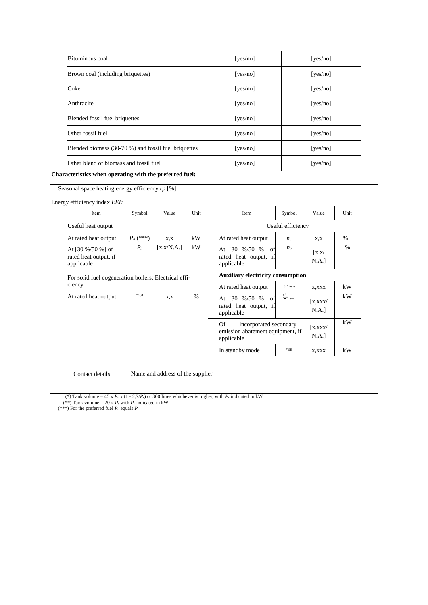| Bituminous coal                                      | [yes/no] | [yes/no] |
|------------------------------------------------------|----------|----------|
| Brown coal (including briquettes)                    | [yes/no] | [yes/no] |
| Coke                                                 | [yes/no] | [yes/no] |
| Anthracite                                           | [yes/no] | [yes/no] |
| Blended fossil fuel briquettes                       | [yes/no] | [yes/no] |
| Other fossil fuel                                    | [yes/no] | [yes/no] |
| Blended biomass (30-70 %) and fossil fuel briquettes | [yes/no] | [yes/no] |
| Other blend of biomass and fossil fuel               | [yes/no] | [yes/no] |

**Characteristics when operating with the preferred fuel:**

Seasonal space heating energy efficiency *rp* [%]:

#### Energy efficiency index *EEI:*

| Item                                                                        | Symbol      | Value                                    | Unit          | <b>Item</b>                                                                    | Symbol            | Value                                      | Unit          |
|-----------------------------------------------------------------------------|-------------|------------------------------------------|---------------|--------------------------------------------------------------------------------|-------------------|--------------------------------------------|---------------|
| Useful heat output                                                          |             |                                          |               |                                                                                | Useful efficiency |                                            |               |
| At rated heat output                                                        | $P_n$ (***) | X,X                                      | kW            | At rated heat output                                                           | $n_{\cdot}$       | X, X                                       | $\frac{0}{0}$ |
| At $[30\frac{9}{50\frac{1}{10}}]$ of<br>rated heat output, if<br>applicable | $P_p$       | [x, x/N.A.]                              | kW            | At [30 %/50 %] of<br>rated heat output, if<br>applicable                       | $n_{P}$           | $\left[ \text{X,X} \right]$<br>N.A.]       | $\%$          |
| For solid fuel cogeneration boilers: Electrical effi-                       |             | <b>Auxiliary electricity consumption</b> |               |                                                                                |                   |                                            |               |
| ciency                                                                      |             |                                          |               | At rated heat output                                                           | $el^e$ 'max       | X, XXX                                     | kW            |
| At rated heat output                                                        | $n$ el.n    | X.X                                      | $\frac{0}{0}$ | At [30 %/50 %] of<br>rated heat output, if<br>applicable                       | el<br>$"$ -mm     | $\left[ \right.$ x, x x x $\left/$<br>N.A. | kW            |
|                                                                             |             |                                          |               | Of<br>incorporated secondary<br>emission abatement equipment, if<br>applicable |                   | $\left[ \right.$ x, x x x $\left/$<br>N.A. | kW            |
|                                                                             |             |                                          |               | In standby mode                                                                | $P$ SB            | X, XXX                                     | kW            |

Contact details

Name and address of the supplier

(\*) Tank volume = 45 x  $P_r$  x (1 - 2,7/ $P_r$ ) or 300 litres whichever is higher, with  $P_r$  indicated in kW

(\*\*) Tank volume = 20 x  $P_r$  with  $P_r$  indicated in kW (\*\*\*) For the preferred fuel *P<sup>n</sup>* equals *P<sup>r</sup>*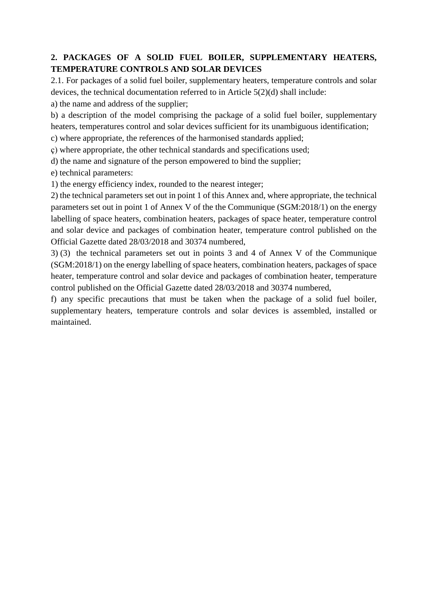## **2. PACKAGES OF A SOLID FUEL BOILER, SUPPLEMENTARY HEATERS, TEMPERATURE CONTROLS AND SOLAR DEVICES**

2.1. For packages of a solid fuel boiler, supplementary heaters, temperature controls and solar devices, the technical documentation referred to in Article 5(2)(d) shall include:

a) the name and address of the supplier;

b) a description of the model comprising the package of a solid fuel boiler, supplementary heaters, temperatures control and solar devices sufficient for its unambiguous identification;

c) where appropriate, the references of the harmonised standards applied;

ç) where appropriate, the other technical standards and specifications used;

d) the name and signature of the person empowered to bind the supplier;

e) technical parameters:

1) the energy efficiency index, rounded to the nearest integer;

2) the technical parameters set out in point 1 of this Annex and, where appropriate, the technical parameters set out in point 1 of Annex V of the the Communique (SGM:2018/1) on the energy labelling of space heaters, combination heaters, packages of space heater, temperature control and solar device and packages of combination heater, temperature control published on the Official Gazette dated 28/03/2018 and 30374 numbered,

3) (3) the technical parameters set out in points 3 and 4 of Annex V of the Communique (SGM:2018/1) on the energy labelling of space heaters, combination heaters, packages of space heater, temperature control and solar device and packages of combination heater, temperature control published on the Official Gazette dated 28/03/2018 and 30374 numbered,

f) any specific precautions that must be taken when the package of a solid fuel boiler, supplementary heaters, temperature controls and solar devices is assembled, installed or maintained.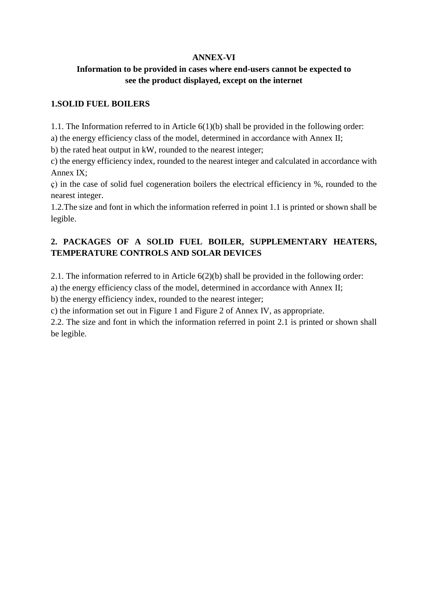### **ANNEX-VI**

## **Information to be provided in cases where end-users cannot be expected to see the product displayed, except on the internet**

## **1.SOLID FUEL BOILERS**

1.1. The Information referred to in Article 6(1)(b) shall be provided in the following order:

a) the energy efficiency class of the model, determined in accordance with Annex II;

b) the rated heat output in kW, rounded to the nearest integer;

c) the energy efficiency index, rounded to the nearest integer and calculated in accordance with Annex IX;

ç) in the case of solid fuel cogeneration boilers the electrical efficiency in %, rounded to the nearest integer.

1.2.The size and font in which the information referred in point 1.1 is printed or shown shall be legible.

## **2. PACKAGES OF A SOLID FUEL BOILER, SUPPLEMENTARY HEATERS, TEMPERATURE CONTROLS AND SOLAR DEVICES**

2.1. The information referred to in Article  $6(2)(b)$  shall be provided in the following order:

a) the energy efficiency class of the model, determined in accordance with Annex II;

b) the energy efficiency index, rounded to the nearest integer;

c) the information set out in Figure 1 and Figure 2 of Annex IV, as appropriate.

2.2. The size and font in which the information referred in point 2.1 is printed or shown shall be legible.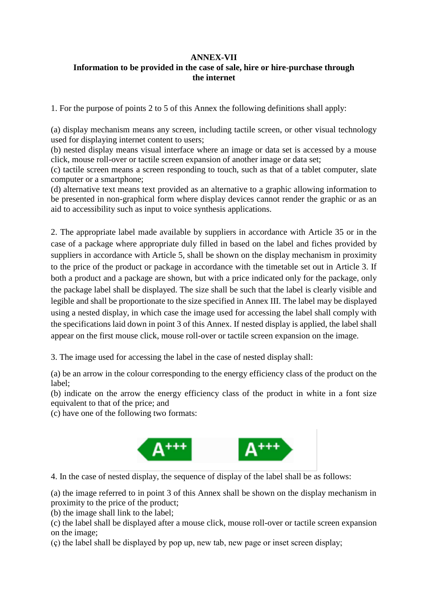### **ANNEX-VII Information to be provided in the case of sale, hire or hire-purchase through the internet**

1. For the purpose of points 2 to 5 of this Annex the following definitions shall apply:

(a) display mechanism means any screen, including tactile screen, or other visual technology used for displaying internet content to users;

(b) nested display means visual interface where an image or data set is accessed by a mouse click, mouse roll-over or tactile screen expansion of another image or data set;

(c) tactile screen means a screen responding to touch, such as that of a tablet computer, slate computer or a smartphone;

(d) alternative text means text provided as an alternative to a graphic allowing information to be presented in non-graphical form where display devices cannot render the graphic or as an aid to accessibility such as input to voice synthesis applications.

2. The appropriate label made available by suppliers in accordance with Article 35 or in the case of a package where appropriate duly filled in based on the label and fiches provided by suppliers in accordance with Article 5, shall be shown on the display mechanism in proximity to the price of the product or package in accordance with the timetable set out in Article 3. If both a product and a package are shown, but with a price indicated only for the package, only the package label shall be displayed. The size shall be such that the label is clearly visible and legible and shall be proportionate to the size specified in Annex III. The label may be displayed using a nested display, in which case the image used for accessing the label shall comply with the specifications laid down in point 3 of this Annex. If nested display is applied, the label shall appear on the first mouse click, mouse roll-over or tactile screen expansion on the image.

3. The image used for accessing the label in the case of nested display shall:

(a) be an arrow in the colour corresponding to the energy efficiency class of the product on the label;

(b) indicate on the arrow the energy efficiency class of the product in white in a font size equivalent to that of the price; and

(c) have one of the following two formats:



4. In the case of nested display, the sequence of display of the label shall be as follows:

(a) the image referred to in point 3 of this Annex shall be shown on the display mechanism in proximity to the price of the product;

(b) the image shall link to the label;

(c) the label shall be displayed after a mouse click, mouse roll-over or tactile screen expansion on the image;

(ç) the label shall be displayed by pop up, new tab, new page or inset screen display;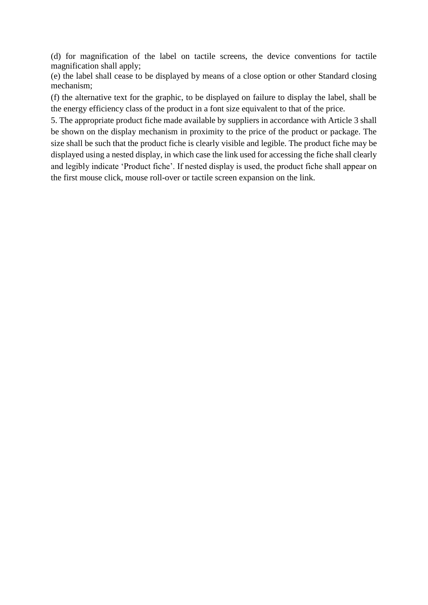(d) for magnification of the label on tactile screens, the device conventions for tactile magnification shall apply;

(e) the label shall cease to be displayed by means of a close option or other Standard closing mechanism;

(f) the alternative text for the graphic, to be displayed on failure to display the label, shall be the energy efficiency class of the product in a font size equivalent to that of the price.

5. The appropriate product fiche made available by suppliers in accordance with Article 3 shall be shown on the display mechanism in proximity to the price of the product or package. The size shall be such that the product fiche is clearly visible and legible. The product fiche may be displayed using a nested display, in which case the link used for accessing the fiche shall clearly and legibly indicate 'Product fiche'. If nested display is used, the product fiche shall appear on the first mouse click, mouse roll-over or tactile screen expansion on the link.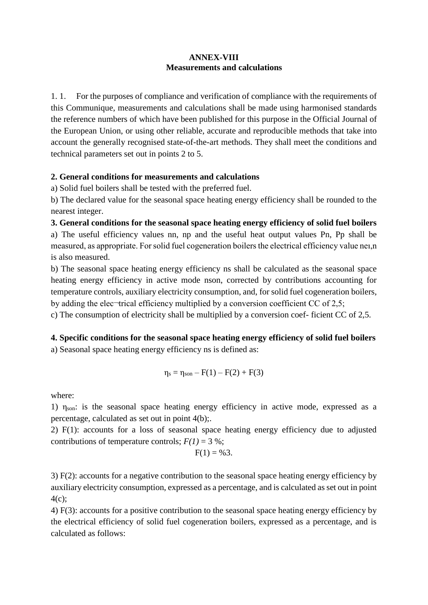## **ANNEX-VIII Measurements and calculations**

1. 1. For the purposes of compliance and verification of compliance with the requirements of this Communique, measurements and calculations shall be made using harmonised standards the reference numbers of which have been published for this purpose in the Official Journal of the European Union, or using other reliable, accurate and reproducible methods that take into account the generally recognised state-of-the-art methods. They shall meet the conditions and technical parameters set out in points 2 to 5.

### **2. General conditions for measurements and calculations**

a) Solid fuel boilers shall be tested with the preferred fuel.

b) The declared value for the seasonal space heating energy efficiency shall be rounded to the nearest integer.

## **3. General conditions for the seasonal space heating energy efficiency of solid fuel boilers** a) The useful efficiency values nn, np and the useful heat output values Pn, Pp shall be measured, as appropriate. For solid fuel cogeneration boilers the electrical efficiency value neı,n is also measured.

b) The seasonal space heating energy efficiency ns shall be calculated as the seasonal space heating energy efficiency in active mode nson, corrected by contributions accounting for temperature controls, auxiliary electricity consumption, and, for solid fuel cogeneration boilers, by adding the elec¬trical efficiency multiplied by a conversion coefficient CC of 2,5;

c) The consumption of electricity shall be multiplied by a conversion coef- ficient CC of 2,5.

# **4. Specific conditions for the seasonal space heating energy efficiency of solid fuel boilers**

a) Seasonal space heating energy efficiency ns is defined as:

$$
\eta_s = \eta_{son} - F(1) - F(2) + F(3)
$$

where:

1)  $\eta_{\text{son}}$ : is the seasonal space heating energy efficiency in active mode, expressed as a percentage, calculated as set out in point 4(b);.

2) F(1): accounts for a loss of seasonal space heating energy efficiency due to adjusted contributions of temperature controls;  $F(1) = 3$ %;

$$
F(1)=\%3.
$$

3) F(2): accounts for a negative contribution to the seasonal space heating energy efficiency by auxiliary electricity consumption, expressed as a percentage, and is calculated as set out in point 4(c);

4) F(3): accounts for a positive contribution to the seasonal space heating energy efficiency by the electrical efficiency of solid fuel cogeneration boilers, expressed as a percentage, and is calculated as follows: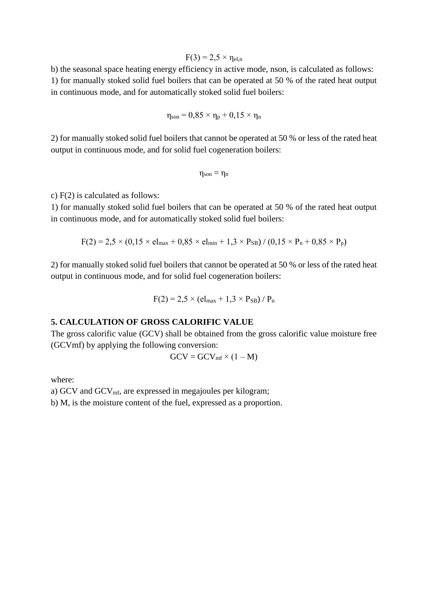$$
F(3) = 2.5 \times \eta_{el,n}
$$

b) the seasonal space heating energy efficiency in active mode, nson, is calculated as follows: 1) for manually stoked solid fuel boilers that can be operated at 50 % of the rated heat output in continuous mode, and for automatically stoked solid fuel boilers:

$$
\eta_{son} = 0.85 \times \eta_p + 0.15 \times \eta_n
$$

2) for manually stoked solid fuel boilers that cannot be operated at 50 % or less of the rated heat output in continuous mode, and for solid fuel cogeneration boilers:

$$
\eta_{son}=\eta_n
$$

c) F(2) is calculated as follows:

1) for manually stoked solid fuel boilers that can be operated at 50 % of the rated heat output in continuous mode, and for automatically stoked solid fuel boilers:

$$
F(2) = 2.5 \times (0.15 \times e l_{max} + 0.85 \times e l_{min} + 1.3 \times P_{SB}) / (0.15 \times P_n + 0.85 \times P_p)
$$

2) for manually stoked solid fuel boilers that cannot be operated at 50 % or less of the rated heat output in continuous mode, and for solid fuel cogeneration boilers:

$$
F(2) = 2.5 \times (el_{max} + 1.3 \times P_{SB}) / P_n
$$

### **5. CALCULATION OF GROSS CALORIFIC VALUE**

The gross calorific value (GCV) shall be obtained from the gross calorific value moisture free (GCVmf) by applying the following conversion:

$$
GCV = GCV_{mf} \times (1 - M)
$$

where:

a) GCV and GCV<sub>mf</sub>, are expressed in megajoules per kilogram;

b) M, is the moisture content of the fuel, expressed as a proportion.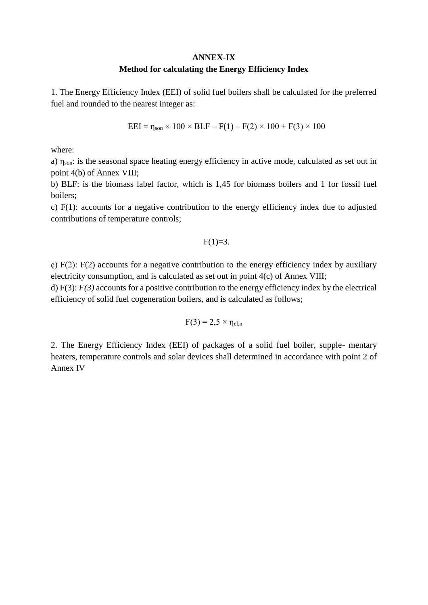### **ANNEX-IX Method for calculating the Energy Efficiency Index**

1. The Energy Efficiency Index (EEI) of solid fuel boilers shall be calculated for the preferred fuel and rounded to the nearest integer as:

 $EEI = \eta_{son} \times 100 \times BLF - F(1) - F(2) \times 100 + F(3) \times 100$ 

where:

a) ηson: is the seasonal space heating energy efficiency in active mode, calculated as set out in point 4(b) of Annex VIII;

b) BLF: is the biomass label factor, which is 1,45 for biomass boilers and 1 for fossil fuel boilers;

c) F(1): accounts for a negative contribution to the energy efficiency index due to adjusted contributions of temperature controls;

$$
F(1)=3.
$$

 $\zeta$ ) F(2): F(2) accounts for a negative contribution to the energy efficiency index by auxiliary electricity consumption, and is calculated as set out in point 4(c) of Annex VIII;

d) F(3): *F(3)* accounts for a positive contribution to the energy efficiency index by the electrical efficiency of solid fuel cogeneration boilers, and is calculated as follows;

$$
F(3) = 2.5 \times \eta_{el,n}
$$

2. The Energy Efficiency Index (EEI) of packages of a solid fuel boiler, supple- mentary heaters, temperature controls and solar devices shall determined in accordance with point 2 of Annex IV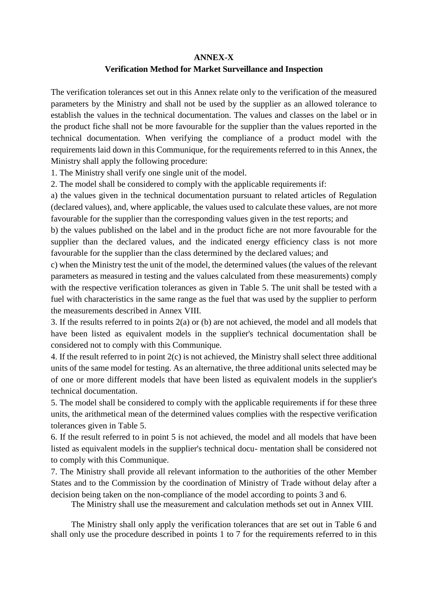### **ANNEX-X**

## **Verification Method for Market Surveillance and Inspection**

The verification tolerances set out in this Annex relate only to the verification of the measured parameters by the Ministry and shall not be used by the supplier as an allowed tolerance to establish the values in the technical documentation. The values and classes on the label or in the product fiche shall not be more favourable for the supplier than the values reported in the technical documentation. When verifying the compliance of a product model with the requirements laid down in this Communique, for the requirements referred to in this Annex, the Ministry shall apply the following procedure:

1. The Ministry shall verify one single unit of the model.

2. The model shall be considered to comply with the applicable requirements if:

a) the values given in the technical documentation pursuant to related articles of Regulation (declared values), and, where applicable, the values used to calculate these values, are not more favourable for the supplier than the corresponding values given in the test reports; and

b) the values published on the label and in the product fiche are not more favourable for the supplier than the declared values, and the indicated energy efficiency class is not more favourable for the supplier than the class determined by the declared values; and

c) when the Ministry test the unit of the model, the determined values (the values of the relevant parameters as measured in testing and the values calculated from these measurements) comply with the respective verification tolerances as given in Table 5. The unit shall be tested with a fuel with characteristics in the same range as the fuel that was used by the supplier to perform the measurements described in Annex VIII.

3. If the results referred to in points 2(a) or (b) are not achieved, the model and all models that have been listed as equivalent models in the supplier's technical documentation shall be considered not to comply with this Communique.

4. If the result referred to in point 2(c) is not achieved, the Ministry shall select three additional units of the same model for testing. As an alternative, the three additional units selected may be of one or more different models that have been listed as equivalent models in the supplier's technical documentation.

5. The model shall be considered to comply with the applicable requirements if for these three units, the arithmetical mean of the determined values complies with the respective verification tolerances given in Table 5.

6. If the result referred to in point 5 is not achieved, the model and all models that have been listed as equivalent models in the supplier's technical docu- mentation shall be considered not to comply with this Communique.

7. The Ministry shall provide all relevant information to the authorities of the other Member States and to the Commission by the coordination of Ministry of Trade without delay after a decision being taken on the non-compliance of the model according to points 3 and 6.

The Ministry shall use the measurement and calculation methods set out in Annex VIII.

The Ministry shall only apply the verification tolerances that are set out in Table 6 and shall only use the procedure described in points 1 to 7 for the requirements referred to in this